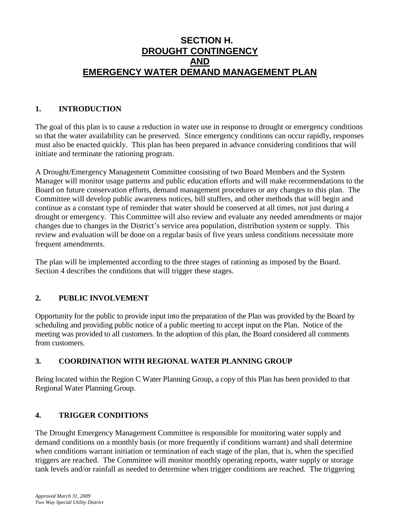# **SECTION H. DROUGHT CONTINGENCY AND EMERGENCY WATER DEMAND MANAGEMENT PLAN**

### **1. INTRODUCTION**

The goal of this plan is to cause a reduction in water use in response to drought or emergency conditions so that the water availability can be preserved. Since emergency conditions can occur rapidly, responses must also be enacted quickly. This plan has been prepared in advance considering conditions that will initiate and terminate the rationing program.

A Drought/Emergency Management Committee consisting of two Board Members and the System Manager will monitor usage patterns and public education efforts and will make recommendations to the Board on future conservation efforts, demand management procedures or any changes to this plan. The Committee will develop public awareness notices, bill stuffers, and other methods that will begin and continue as a constant type of reminder that water should be conserved at all times, not just during a drought or emergency. This Committee will also review and evaluate any needed amendments or major changes due to changes in the District's service area population, distribution system or supply. This review and evaluation will be done on a regular basis of five years unless conditions necessitate more frequent amendments.

The plan will be implemented according to the three stages of rationing as imposed by the Board. Section 4 describes the conditions that will trigger these stages.

# **2. PUBLIC INVOLVEMENT**

Opportunity for the public to provide input into the preparation of the Plan was provided by the Board by scheduling and providing public notice of a public meeting to accept input on the Plan. Notice of the meeting was provided to all customers. In the adoption of this plan, the Board considered all comments from customers.

# **3. COORDINATION WITH REGIONAL WATER PLANNING GROUP**

Being located within the Region C Water Planning Group, a copy of this Plan has been provided to that Regional Water Planning Group.

### **4. TRIGGER CONDITIONS**

The Drought Emergency Management Committee is responsible for monitoring water supply and demand conditions on a monthly basis (or more frequently if conditions warrant) and shall determine when conditions warrant initiation or termination of each stage of the plan, that is, when the specified triggers are reached. The Committee will monitor monthly operating reports, water supply or storage tank levels and/or rainfall as needed to determine when trigger conditions are reached. The triggering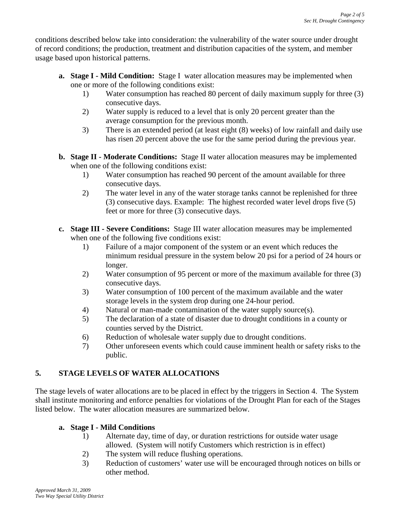conditions described below take into consideration: the vulnerability of the water source under drought of record conditions; the production, treatment and distribution capacities of the system, and member usage based upon historical patterns.

- **a. Stage I - Mild Condition:** Stage I water allocation measures may be implemented when one or more of the following conditions exist:
	- 1) Water consumption has reached 80 percent of daily maximum supply for three (3) consecutive days.
	- 2) Water supply is reduced to a level that is only 20 percent greater than the average consumption for the previous month.
	- 3) There is an extended period (at least eight (8) weeks) of low rainfall and daily use has risen 20 percent above the use for the same period during the previous year.
- **b. Stage II - Moderate Conditions:** Stage II water allocation measures may be implemented when one of the following conditions exist:
	- 1) Water consumption has reached 90 percent of the amount available for three consecutive days.
	- 2) The water level in any of the water storage tanks cannot be replenished for three (3) consecutive days. Example: The highest recorded water level drops five (5) feet or more for three (3) consecutive days.
- **c. Stage III - Severe Conditions:** Stage III water allocation measures may be implemented when one of the following five conditions exist:
	- 1) Failure of a major component of the system or an event which reduces the minimum residual pressure in the system below 20 psi for a period of 24 hours or longer.
	- 2) Water consumption of 95 percent or more of the maximum available for three (3) consecutive days.
	- 3) Water consumption of 100 percent of the maximum available and the water storage levels in the system drop during one 24-hour period.
	- 4) Natural or man-made contamination of the water supply source(s).
	- 5) The declaration of a state of disaster due to drought conditions in a county or counties served by the District.
	- 6) Reduction of wholesale water supply due to drought conditions.
	- 7) Other unforeseen events which could cause imminent health or safety risks to the public.

# **5. STAGE LEVELS OF WATER ALLOCATIONS**

The stage levels of water allocations are to be placed in effect by the triggers in Section 4. The System shall institute monitoring and enforce penalties for violations of the Drought Plan for each of the Stages listed below. The water allocation measures are summarized below.

# **a. Stage I - Mild Conditions**

- 1) Alternate day, time of day, or duration restrictions for outside water usage allowed. (System will notify Customers which restriction is in effect)
- 2) The system will reduce flushing operations.
- 3) Reduction of customers' water use will be encouraged through notices on bills or other method.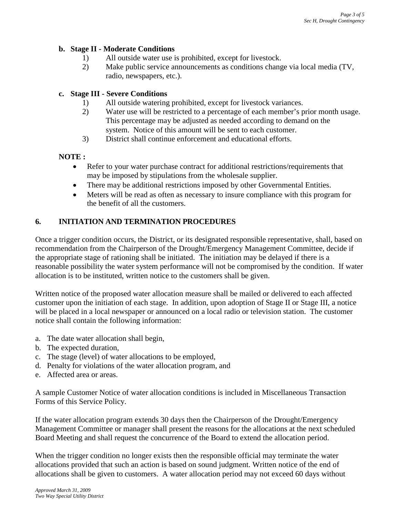#### **b. Stage II - Moderate Conditions**

- 1) All outside water use is prohibited, except for livestock.
- 2) Make public service announcements as conditions change via local media (TV, radio, newspapers, etc.).

### **c. Stage III - Severe Conditions**

- 1) All outside watering prohibited, except for livestock variances.
- 2) Water use will be restricted to a percentage of each member's prior month usage. This percentage may be adjusted as needed according to demand on the system. Notice of this amount will be sent to each customer.
- 3) District shall continue enforcement and educational efforts.

### **NOTE :**

- Refer to your water purchase contract for additional restrictions/requirements that may be imposed by stipulations from the wholesale supplier.
- There may be additional restrictions imposed by other Governmental Entities.
- Meters will be read as often as necessary to insure compliance with this program for the benefit of all the customers.

### **6. INITIATION AND TERMINATION PROCEDURES**

Once a trigger condition occurs, the District, or its designated responsible representative, shall, based on recommendation from the Chairperson of the Drought/Emergency Management Committee, decide if the appropriate stage of rationing shall be initiated. The initiation may be delayed if there is a reasonable possibility the water system performance will not be compromised by the condition. If water allocation is to be instituted, written notice to the customers shall be given.

Written notice of the proposed water allocation measure shall be mailed or delivered to each affected customer upon the initiation of each stage. In addition, upon adoption of Stage II or Stage III, a notice will be placed in a local newspaper or announced on a local radio or television station. The customer notice shall contain the following information:

- a. The date water allocation shall begin,
- b. The expected duration,
- c. The stage (level) of water allocations to be employed,
- d. Penalty for violations of the water allocation program, and
- e. Affected area or areas.

A sample Customer Notice of water allocation conditions is included in Miscellaneous Transaction Forms of this Service Policy.

If the water allocation program extends 30 days then the Chairperson of the Drought/Emergency Management Committee or manager shall present the reasons for the allocations at the next scheduled Board Meeting and shall request the concurrence of the Board to extend the allocation period.

When the trigger condition no longer exists then the responsible official may terminate the water allocations provided that such an action is based on sound judgment. Written notice of the end of allocations shall be given to customers. A water allocation period may not exceed 60 days without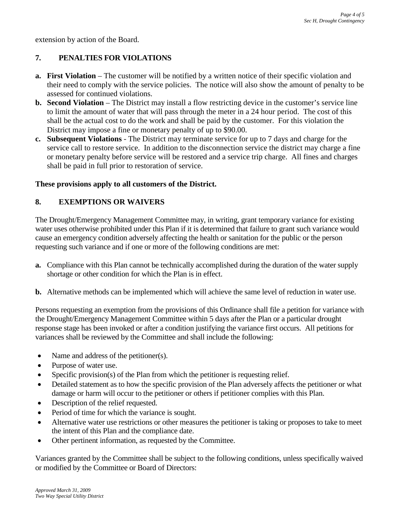extension by action of the Board.

### **7. PENALTIES FOR VIOLATIONS**

- **a.** First Violation The customer will be notified by a written notice of their specific violation and their need to comply with the service policies. The notice will also show the amount of penalty to be assessed for continued violations.
- **b. Second Violation** The District may install a flow restricting device in the customer's service line to limit the amount of water that will pass through the meter in a 24 hour period. The cost of this shall be the actual cost to do the work and shall be paid by the customer. For this violation the District may impose a fine or monetary penalty of up to \$90.00.
- **c. Subsequent Violations** The District may terminate service for up to 7 days and charge for the service call to restore service. In addition to the disconnection service the district may charge a fine or monetary penalty before service will be restored and a service trip charge. All fines and charges shall be paid in full prior to restoration of service.

#### **These provisions apply to all customers of the District.**

#### **8. EXEMPTIONS OR WAIVERS**

The Drought/Emergency Management Committee may, in writing, grant temporary variance for existing water uses otherwise prohibited under this Plan if it is determined that failure to grant such variance would cause an emergency condition adversely affecting the health or sanitation for the public or the person requesting such variance and if one or more of the following conditions are met:

- **a.** Compliance with this Plan cannot be technically accomplished during the duration of the water supply shortage or other condition for which the Plan is in effect.
- **b.** Alternative methods can be implemented which will achieve the same level of reduction in water use.

Persons requesting an exemption from the provisions of this Ordinance shall file a petition for variance with the Drought/Emergency Management Committee within 5 days after the Plan or a particular drought response stage has been invoked or after a condition justifying the variance first occurs. All petitions for variances shall be reviewed by the Committee and shall include the following:

- Name and address of the petitioner(s).
- Purpose of water use.
- Specific provision(s) of the Plan from which the petitioner is requesting relief.
- Detailed statement as to how the specific provision of the Plan adversely affects the petitioner or what damage or harm will occur to the petitioner or others if petitioner complies with this Plan.
- Description of the relief requested.
- Period of time for which the variance is sought.
- Alternative water use restrictions or other measures the petitioner is taking or proposes to take to meet the intent of this Plan and the compliance date.
- Other pertinent information, as requested by the Committee.

Variances granted by the Committee shall be subject to the following conditions, unless specifically waived or modified by the Committee or Board of Directors: